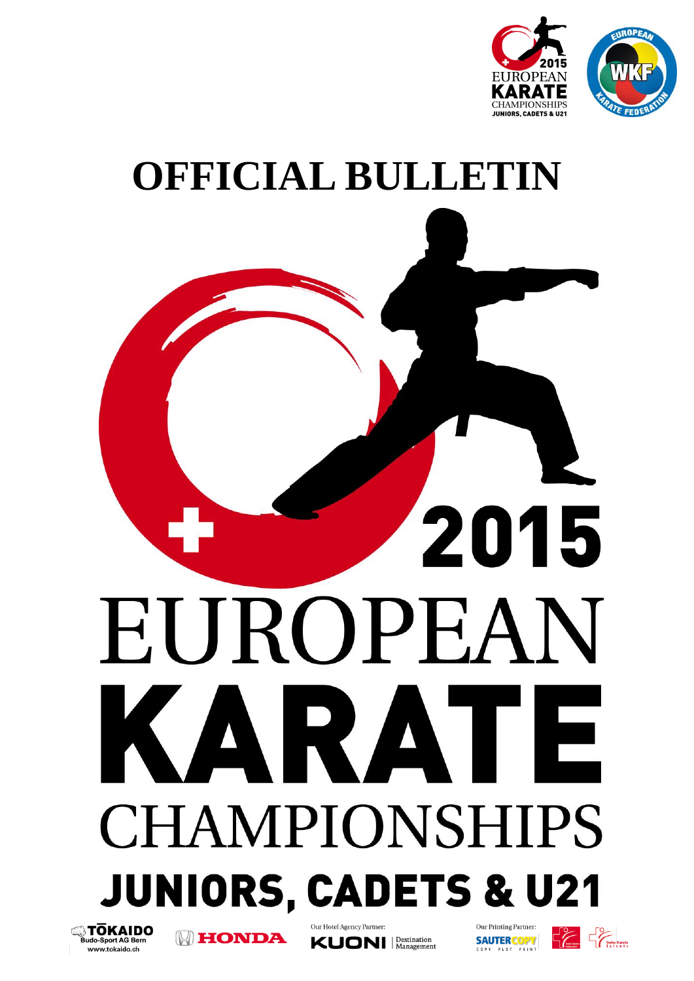



# **OFFICIAL BULLETIN**

## 2015 EUROPEAN AR AT ГE **CHAMPIONSHIPS JUNIORS, CADETS & U21 Sando-Sport AG Bern** Our Hotel Agency Partner: Our Printing Partner: **HONDA SAUTER COPY KUONI** *Management* www.tokaido.ch COPY PLOT PRINT

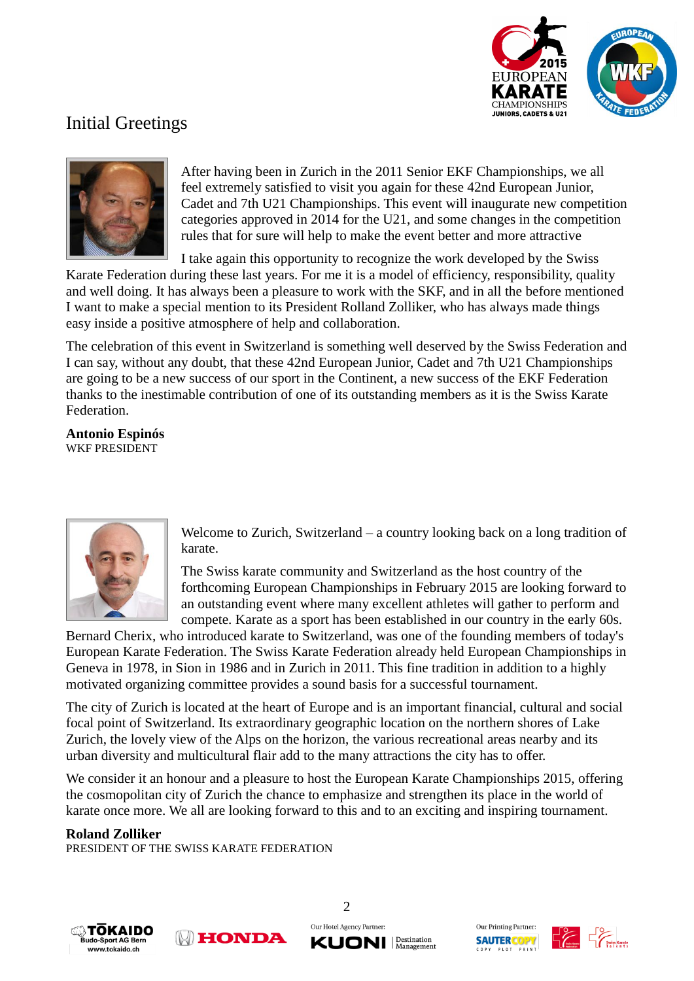

## Initial Greetings



After having been in Zurich in the 2011 Senior EKF Championships, we all feel extremely satisfied to visit you again for these 42nd European Junior, Cadet and 7th U21 Championships. This event will inaugurate new competition categories approved in 2014 for the U21, and some changes in the competition rules that for sure will help to make the event better and more attractive

I take again this opportunity to recognize the work developed by the Swiss

Karate Federation during these last years. For me it is a model of efficiency, responsibility, quality and well doing. It has always been a pleasure to work with the SKF, and in all the before mentioned I want to make a special mention to its President Rolland Zolliker, who has always made things easy inside a positive atmosphere of help and collaboration.

The celebration of this event in Switzerland is something well deserved by the Swiss Federation and I can say, without any doubt, that these 42nd European Junior, Cadet and 7th U21 Championships are going to be a new success of our sport in the Continent, a new success of the EKF Federation thanks to the inestimable contribution of one of its outstanding members as it is the Swiss Karate Federation.

**Antonio Espinós** WKF PRESIDENT



Welcome to Zurich, Switzerland – a country looking back on a long tradition of karate.

The Swiss karate community and Switzerland as the host country of the forthcoming European Championships in February 2015 are looking forward to an outstanding event where many excellent athletes will gather to perform and compete. Karate as a sport has been established in our country in the early 60s.

Bernard Cherix, who introduced karate to Switzerland, was one of the founding members of today's European Karate Federation. The Swiss Karate Federation already held European Championships in Geneva in 1978, in Sion in 1986 and in Zurich in 2011. This fine tradition in addition to a highly motivated organizing committee provides a sound basis for a successful tournament.

The city of Zurich is located at the heart of Europe and is an important financial, cultural and social focal point of Switzerland. Its extraordinary geographic location on the northern shores of Lake Zurich, the lovely view of the Alps on the horizon, the various recreational areas nearby and its urban diversity and multicultural flair add to the many attractions the city has to offer.

We consider it an honour and a pleasure to host the European Karate Championships 2015, offering the cosmopolitan city of Zurich the chance to emphasize and strengthen its place in the world of karate once more. We all are looking forward to this and to an exciting and inspiring tournament.

#### **Roland Zolliker**

PRESIDENT OF THE SWISS KARATE FEDERATION







Our Printing Partner: **SAUTER COPY** PLOT

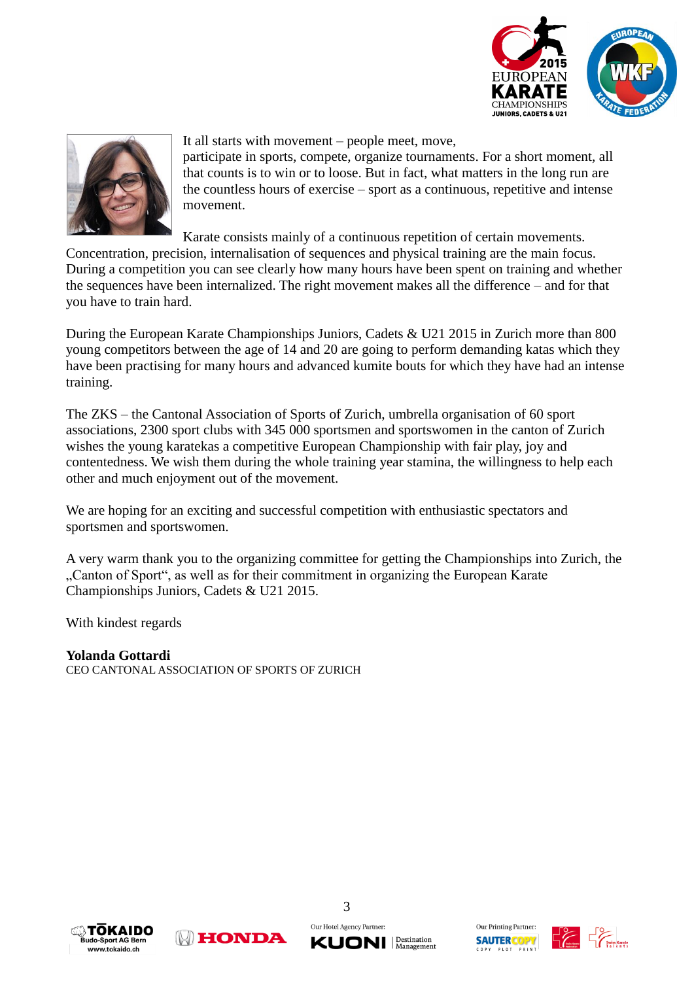



It all starts with movement – people meet, move,

participate in sports, compete, organize tournaments. For a short moment, all that counts is to win or to loose. But in fact, what matters in the long run are the countless hours of exercise – sport as a continuous, repetitive and intense movement.

Karate consists mainly of a continuous repetition of certain movements.

Concentration, precision, internalisation of sequences and physical training are the main focus. During a competition you can see clearly how many hours have been spent on training and whether the sequences have been internalized. The right movement makes all the difference – and for that you have to train hard.

During the European Karate Championships Juniors, Cadets & U21 2015 in Zurich more than 800 young competitors between the age of 14 and 20 are going to perform demanding katas which they have been practising for many hours and advanced kumite bouts for which they have had an intense training.

The ZKS – the Cantonal Association of Sports of Zurich, umbrella organisation of 60 sport associations, 2300 sport clubs with 345 000 sportsmen and sportswomen in the canton of Zurich wishes the young karatekas a competitive European Championship with fair play, joy and contentedness. We wish them during the whole training year stamina, the willingness to help each other and much enjoyment out of the movement.

We are hoping for an exciting and successful competition with enthusiastic spectators and sportsmen and sportswomen.

A very warm thank you to the organizing committee for getting the Championships into Zurich, the "Canton of Sport", as well as for their commitment in organizing the European Karate Championships Juniors, Cadets & U21 2015.

With kindest regards

**Yolanda Gottardi** CEO CANTONAL ASSOCIATION OF SPORTS OF ZURICH







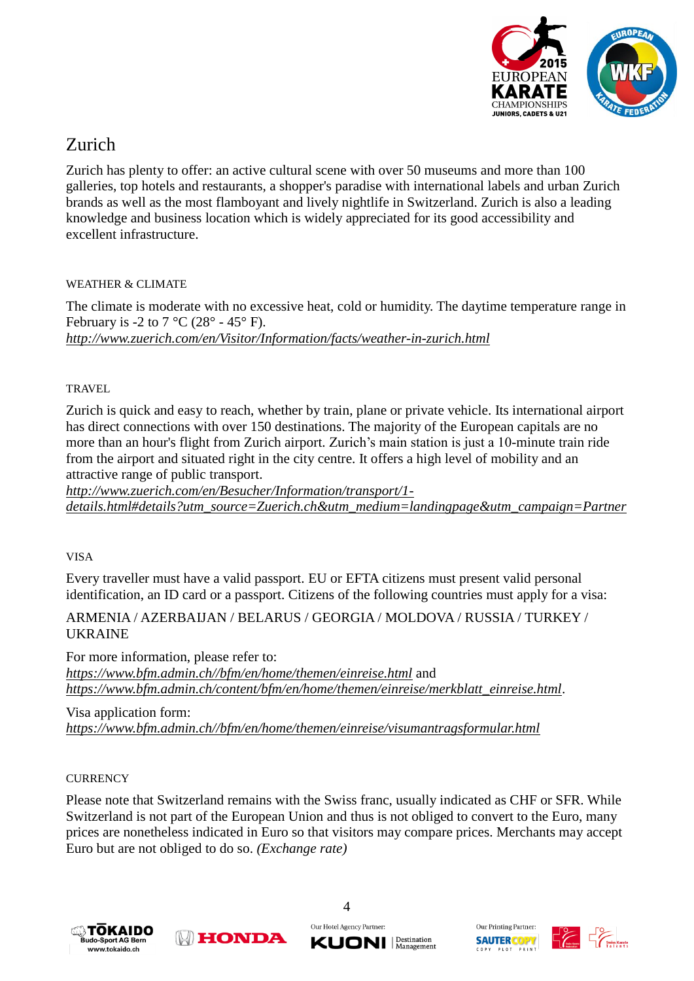

## Zurich

Zurich has plenty to offer: an active cultural scene with over 50 museums and more than 100 galleries, top hotels and restaurants, a shopper's paradise with international labels and urban Zurich brands as well as the most flamboyant and lively nightlife in Switzerland. Zurich is also a leading knowledge and business location which is widely appreciated for its good accessibility and excellent infrastructure.

#### WEATHER & CLIMATE

The climate is moderate with no excessive heat, cold or humidity. The daytime temperature range in February is -2 to 7  $^{\circ}$ C (28 $^{\circ}$  - 45 $^{\circ}$  F). *<http://www.zuerich.com/en/Visitor/Information/facts/weather-in-zurich.html>*

#### **TRAVEL**

Zurich is quick and easy to reach, whether by train, plane or private vehicle. Its international airport has direct connections with over 150 destinations. The majority of the European capitals are no more than an hour's flight from Zurich airport. Zurich's main station is just a 10-minute train ride from the airport and situated right in the city centre. It offers a high level of mobility and an attractive range of public transport.

*[http://www.zuerich.com/en/Besucher/Information/transport/1](http://www.zuerich.com/en/Besucher/Information/transport/1-details.html#details?utm_source=Zuerich.ch&utm_medium=landingpage&utm_campaign=Partner) [details.html#details?utm\\_source=Zuerich.ch&utm\\_medium=landingpage&utm\\_campaign=Partner](http://www.zuerich.com/en/Besucher/Information/transport/1-details.html#details?utm_source=Zuerich.ch&utm_medium=landingpage&utm_campaign=Partner)*

VISA

Every traveller must have a valid passport. EU or EFTA citizens must present valid personal identification, an ID card or a passport. Citizens of the following countries must apply for a visa:

#### ARMENIA / AZERBAIJAN / BELARUS / GEORGIA / MOLDOVA / RUSSIA / TURKEY / UKRAINE

For more information, please refer to: *[https://www.bfm.admin.ch//bfm/en/home/themen/einreise.html](https://www.bfm.admin.ch/bfm/en/home/themen/einreise.html)* and *[https://www.bfm.admin.ch/content/bfm/en/home/themen/einreise/merkblatt\\_einreise.html](https://www.bfm.admin.ch/content/bfm/en/home/themen/einreise/merkblatt_einreise.html)*.

Visa application form: *[https://www.bfm.admin.ch//bfm/en/home/themen/einreise/visumantragsformular.html](https://www.bfm.admin.ch/bfm/en/home/themen/einreise/visumantragsformular.html)*

#### **CURRENCY**

Please note that Switzerland remains with the Swiss franc, usually indicated as CHF or SFR. While Switzerland is not part of the European Union and thus is not obliged to convert to the Euro, many prices are nonetheless indicated in Euro so that visitors may compare prices. Merchants may accept Euro but are not obliged to do so. *(Exchange rate)*







Our Printing Partner: **SAUTERCOPY** PLOT

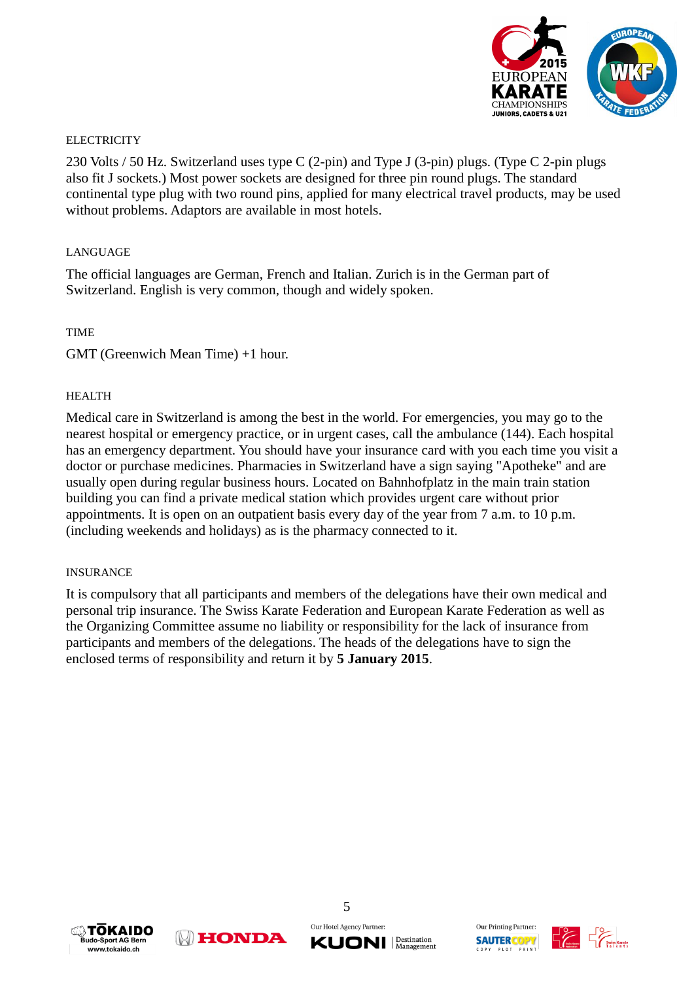

#### **ELECTRICITY**

230 Volts / 50 Hz. Switzerland uses type C (2-pin) and Type J (3-pin) plugs. (Type C 2-pin plugs also fit J sockets.) Most power sockets are designed for three pin round plugs. The standard continental type plug with two round pins, applied for many electrical travel products, may be used without problems. Adaptors are available in most hotels.

#### **LANGUAGE**

The official languages are German, French and Italian. Zurich is in the German part of Switzerland. English is very common, though and widely spoken.

#### TIME

GMT (Greenwich Mean Time) +1 hour.

#### HEALTH

Medical care in Switzerland is among the best in the world. For emergencies, you may go to the nearest hospital or emergency practice, or in urgent cases, call the ambulance (144). Each hospital has an emergency department. You should have your insurance card with you each time you visit a doctor or purchase medicines. Pharmacies in Switzerland have a sign saying "Apotheke" and are usually open during regular business hours. Located on Bahnhofplatz in the main train station building you can find a private medical station which provides urgent care without prior appointments. It is open on an outpatient basis every day of the year from 7 a.m. to 10 p.m. (including weekends and holidays) as is the pharmacy connected to it.

#### INSURANCE

It is compulsory that all participants and members of the delegations have their own medical and personal trip insurance. The Swiss Karate Federation and European Karate Federation as well as the Organizing Committee assume no liability or responsibility for the lack of insurance from participants and members of the delegations. The heads of the delegations have to sign the enclosed terms of responsibility and return it by **5 January 2015**.









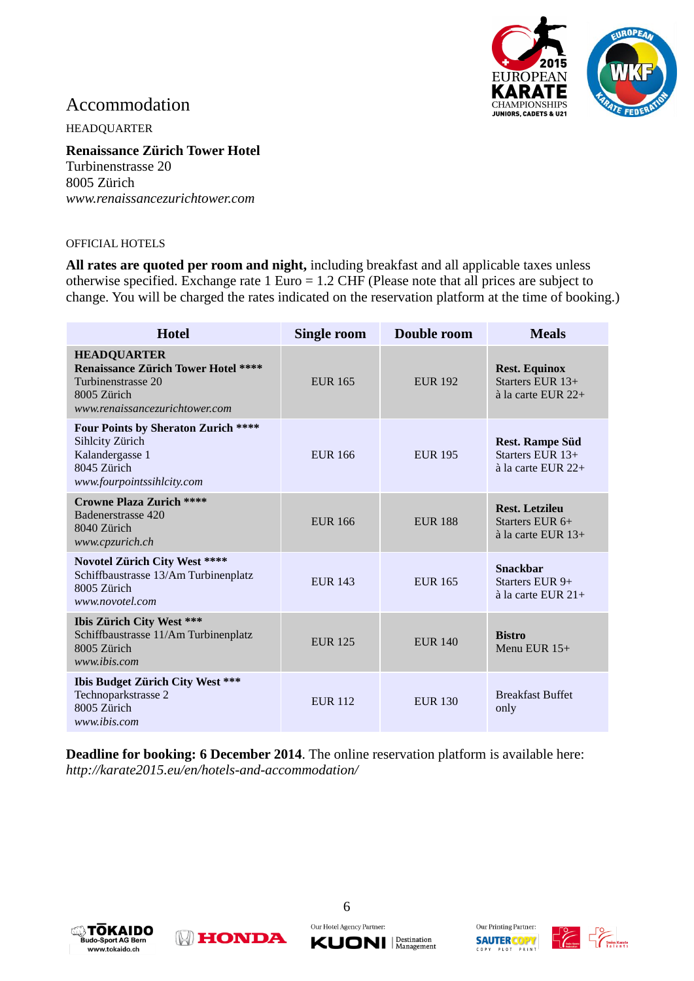

### Accommodation

HEADQUARTER

**Renaissance Zürich Tower Hotel** Turbinenstrasse 20 8005 Zürich *[www.renaissancezurichtower.com](http://www.renaissancezurichtower.com/)*

#### OFFICIAL HOTELS

**All rates are quoted per room and night,** including breakfast and all applicable taxes unless otherwise specified. Exchange rate 1 Euro = 1.2 CHF (Please note that all prices are subject to change. You will be charged the rates indicated on the reservation platform at the time of booking.)

| <b>Hotel</b>                                                                                                                            | <b>Single room</b> | Double room    | <b>Meals</b>                                                               |
|-----------------------------------------------------------------------------------------------------------------------------------------|--------------------|----------------|----------------------------------------------------------------------------|
| <b>HEADQUARTER</b><br><b>Renaissance Zürich Tower Hotel ****</b><br>Turbinenstrasse 20<br>8005 Zürich<br>www.renaissancezurichtower.com | EUR 165            | <b>EUR 192</b> | <b>Rest. Equinox</b><br>Starters EUR $13+$<br>$\hat{a}$ la carte EUR 22+   |
| <b>Four Points by Sheraton Zurich ****</b><br>Sihlcity Zürich<br>Kalandergasse 1<br>8045 Zürich<br>www.fourpointssihlcity.com           | <b>EUR 166</b>     | <b>EUR 195</b> | <b>Rest. Rampe Süd</b><br>Starters EUR $13+$<br>$\lambda$ la carte EUR 22+ |
| <b>Crowne Plaza Zurich ****</b><br>Badenerstrasse 420<br>8040 Zürich<br>www.cpzurich.ch                                                 | <b>EUR 166</b>     | <b>EUR 188</b> | <b>Rest. Letzileu</b><br>Starters EUR $6+$<br>$\lambda$ la carte EUR 13+   |
| <b>Novotel Zürich City West ****</b><br>Schiffbaustrasse 13/Am Turbinenplatz<br>8005 Zürich<br>www.novotel.com                          | <b>EUR 143</b>     | <b>EUR 165</b> | <b>Snackbar</b><br>Starters EUR $9+$<br>$\lambda$ la carte EUR 21+         |
| Ibis Zürich City West ***<br>Schiffbaustrasse 11/Am Turbinenplatz<br>8005 Zürich<br>www.ibis.com                                        | <b>EUR 125</b>     | <b>EUR 140</b> | <b>Bistro</b><br>Menu EUR 15+                                              |
| Ibis Budget Zürich City West ***<br>Technoparkstrasse 2<br>8005 Zürich<br>www.ibis.com                                                  | <b>EUR 112</b>     | <b>EUR 130</b> | <b>Breakfast Buffet</b><br>only                                            |

**Deadline for booking: 6 December 2014**. The online reservation platform is available here: *http://karate2015.eu/en/hotels-and-accommodation/*





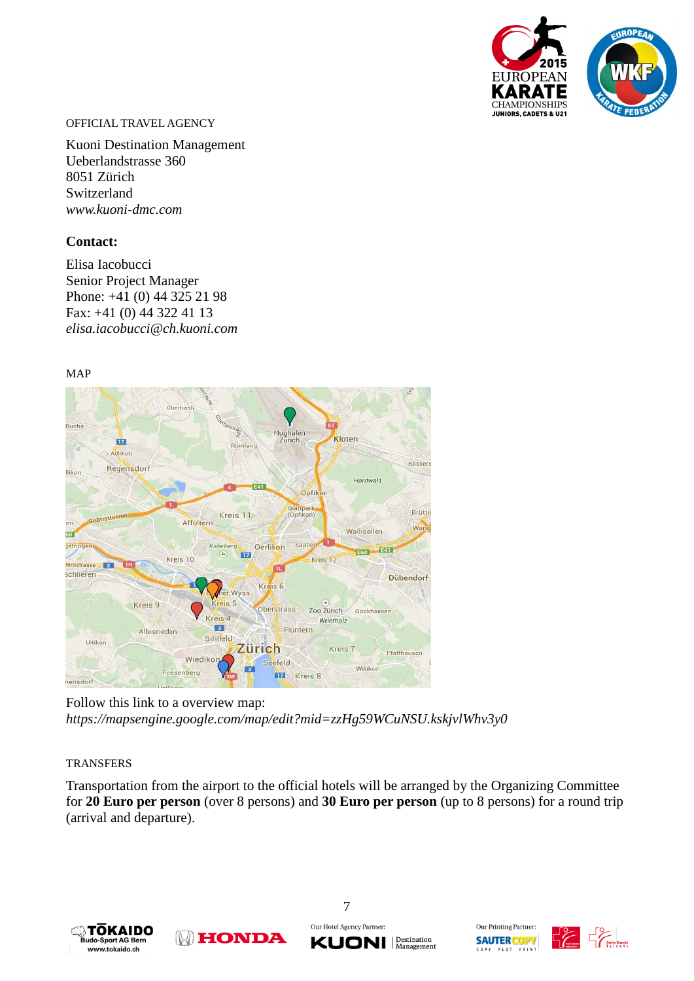

#### OFFICIAL TRAVEL AGENCY

Kuoni Destination Management Ueberlandstrasse 360 8051 Zürich Switzerland *[www.kuoni-dmc.com](http://www.kuoni-dmc.com/)*

#### **Contact:**

Elisa Iacobucci Senior Project Manager Phone: +41 (0) 44 325 21 98 Fax: +41 (0) 44 322 41 13 *[elisa.iacobucci@ch.kuoni.com](mailto:elisa.iacobucci@ch.kuoni.com)*

MAP



Follow this link to a overview map: *https://mapsengine.google.com/map/edit?mid=zzHg59WCuNSU.kskjvlWhv3y0*

#### **TRANSFERS**

Transportation from the airport to the official hotels will be arranged by the Organizing Committee for **20 Euro per person** (over 8 persons) and **30 Euro per person** (up to 8 persons) for a round trip (arrival and departure).





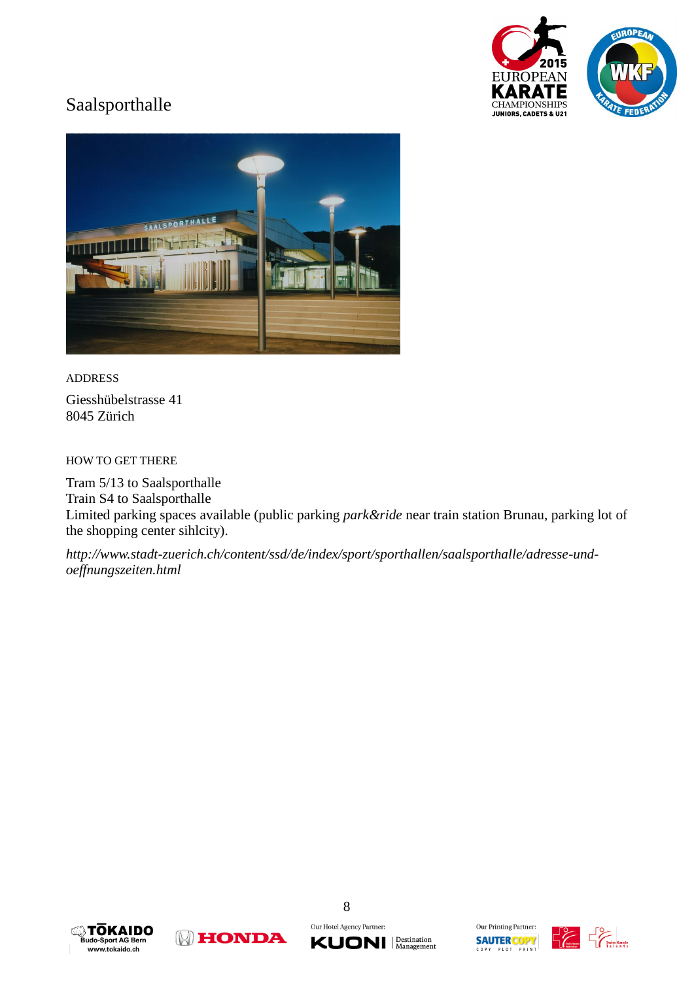

## Saalsporthalle



ADDRESS Giesshübelstrasse 41 8045 Zürich

HOW TO GET THERE

Tram 5/13 to Saalsporthalle Train S4 to Saalsporthalle Limited parking spaces available (public parking *park&ride* near train station Brunau, parking lot of the shopping center sihlcity).

*[http://www.stadt-zuerich.ch/content/ssd/de/index/sport/sporthallen/saalsporthalle/adresse-und](http://www.stadt-zuerich.ch/content/ssd/de/index/sport/sporthallen/saalsporthalle/adresse-und-oeffnungszeiten.html)[oeffnungszeiten.html](http://www.stadt-zuerich.ch/content/ssd/de/index/sport/sporthallen/saalsporthalle/adresse-und-oeffnungszeiten.html)*









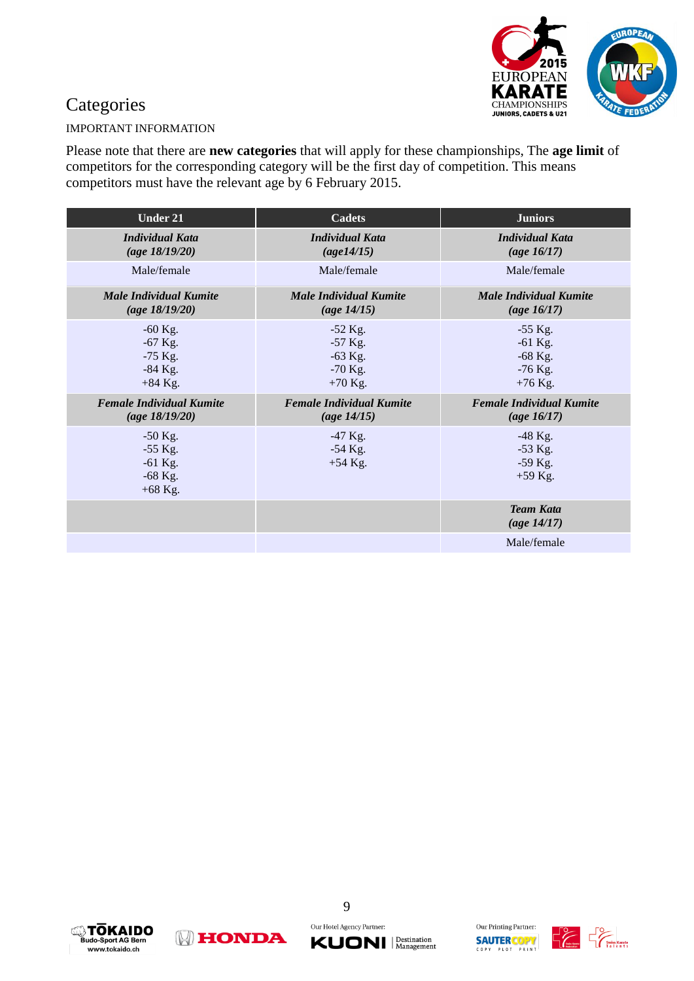

## **Categories**

#### IMPORTANT INFORMATION

Please note that there are **new categories** that will apply for these championships, The **age limit** of competitors for the corresponding category will be the first day of competition. This means competitors must have the relevant age by 6 February 2015.

| <b>Under 21</b>                                               | <b>Cadets</b>                                                 | <b>Juniors</b>                                                |
|---------------------------------------------------------------|---------------------------------------------------------------|---------------------------------------------------------------|
| <b>Individual Kata</b><br>(age 18/19/20)                      | <b>Individual Kata</b><br>(age14/15)                          | <b>Individual Kata</b><br>(age $16/17$ )                      |
| Male/female                                                   | Male/female                                                   | Male/female                                                   |
| <b>Male Individual Kumite</b><br>(age 18/19/20)               | <b>Male Individual Kumite</b><br>( <i>age 14/15</i> )         | <b>Male Individual Kumite</b><br>(age $16/17$ )               |
| $-60$ Kg.<br>$-67$ Kg.<br>$-75$ Kg.<br>$-84$ Kg.<br>$+84$ Kg. | $-52$ Kg.<br>$-57$ Kg.<br>$-63$ Kg.<br>$-70$ Kg.<br>$+70$ Kg. | $-55$ Kg.<br>$-61$ Kg.<br>$-68$ Kg.<br>$-76$ Kg.<br>$+76$ Kg. |
| <b>Female Individual Kumite</b><br>(age 18/19/20)             | <b>Female Individual Kumite</b><br>( <i>age 14/15</i> )       | <b>Female Individual Kumite</b><br>(age $16/17$ )             |
| $-50$ Kg.<br>$-55$ Kg.<br>$-61$ Kg.<br>$-68$ Kg.<br>$+68$ Kg. | $-47$ Kg.<br>$-54$ Kg.<br>$+54$ Kg.                           | $-48$ Kg.<br>$-53$ Kg.<br>$-59$ Kg.<br>$+59$ Kg.              |
|                                                               |                                                               | <b>Team Kata</b><br>( <i>age 14/17</i> )                      |
|                                                               |                                                               | Male/female                                                   |







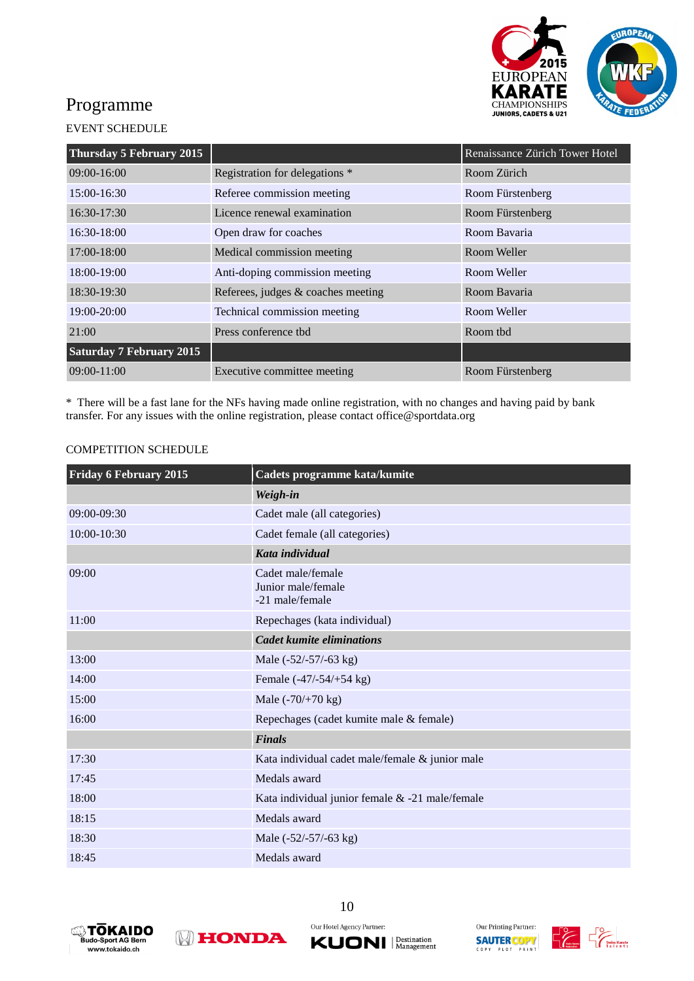

## Programme

#### EVENT SCHEDULE

| Thursday 5 February 2015        |                                    | Renaissance Zürich Tower Hotel |
|---------------------------------|------------------------------------|--------------------------------|
| $09:00 - 16:00$                 | Registration for delegations *     | Room Zürich                    |
| 15:00-16:30                     | Referee commission meeting         | Room Fürstenberg               |
| $16:30-17:30$                   | Licence renewal examination        | Room Fürstenberg               |
| $16:30-18:00$                   | Open draw for coaches              | Room Bavaria                   |
| 17:00-18:00                     | Medical commission meeting         | Room Weller                    |
| 18:00-19:00                     | Anti-doping commission meeting     | Room Weller                    |
| 18:30-19:30                     | Referees, judges & coaches meeting | Room Bavaria                   |
| 19:00-20:00                     | Technical commission meeting       | Room Weller                    |
| 21:00                           | Press conference thd               | Room thd                       |
| <b>Saturday 7 February 2015</b> |                                    |                                |
| $09:00-11:00$                   | Executive committee meeting        | Room Fürstenberg               |

\* There will be a fast lane for the NFs having made online registration, with no changes and having paid by bank transfer. For any issues with the online registration, please contact office@sportdata.org

#### COMPETITION SCHEDULE

| <b>Friday 6 February 2015</b> | Cadets programme kata/kumite                               |
|-------------------------------|------------------------------------------------------------|
|                               | Weigh-in                                                   |
| 09:00-09:30                   | Cadet male (all categories)                                |
| 10:00-10:30                   | Cadet female (all categories)                              |
|                               | Kata individual                                            |
| 09:00                         | Cadet male/female<br>Junior male/female<br>-21 male/female |
| 11:00                         | Repechages (kata individual)                               |
|                               | <b>Cadet kumite eliminations</b>                           |
| 13:00                         | Male (-52/-57/-63 kg)                                      |
| 14:00                         | Female (-47/-54/+54 kg)                                    |
| 15:00                         | Male $(-70/+70 \text{ kg})$                                |
| 16:00                         | Repechages (cadet kumite male & female)                    |
|                               | <b>Finals</b>                                              |
| 17:30                         | Kata individual cadet male/female & junior male            |
| 17:45                         | Medals award                                               |
| 18:00                         | Kata individual junior female & -21 male/female            |
| 18:15                         | Medals award                                               |
| 18:30                         | Male $(-52/-57/-63$ kg)                                    |
| 18:45                         | Medals award                                               |







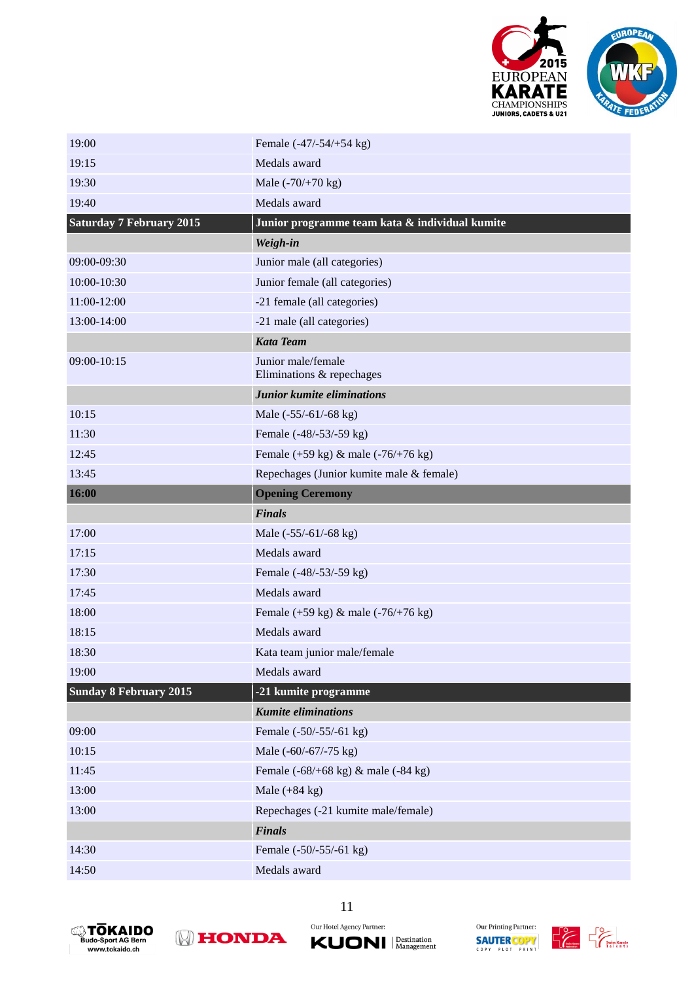

| 19:00                           | Female (-47/-54/+54 kg)                                        |
|---------------------------------|----------------------------------------------------------------|
| 19:15                           | Medals award                                                   |
| 19:30                           | Male $(-70/+70 \text{ kg})$                                    |
| 19:40                           | Medals award                                                   |
| <b>Saturday 7 February 2015</b> | Junior programme team kata & individual kumite                 |
|                                 | Weigh-in                                                       |
| 09:00-09:30                     | Junior male (all categories)                                   |
| 10:00-10:30                     | Junior female (all categories)                                 |
| 11:00-12:00                     | -21 female (all categories)                                    |
| 13:00-14:00                     | -21 male (all categories)                                      |
|                                 | <b>Kata Team</b>                                               |
| 09:00-10:15                     | Junior male/female<br>Eliminations & repechages                |
|                                 | Junior kumite eliminations                                     |
| 10:15                           | Male $(-55/-61/-68$ kg)                                        |
| 11:30                           | Female (-48/-53/-59 kg)                                        |
| 12:45                           | Female (+59 kg) & male (-76/+76 kg)                            |
| 13:45                           | Repechages (Junior kumite male & female)                       |
| 16:00                           | <b>Opening Ceremony</b>                                        |
|                                 |                                                                |
|                                 | <b>Finals</b>                                                  |
| 17:00                           | Male (-55/-61/-68 kg)                                          |
| 17:15                           | Medals award                                                   |
| 17:30                           | Female (-48/-53/-59 kg)                                        |
| 17:45                           | Medals award                                                   |
| 18:00                           | Female (+59 kg) & male (-76/+76 kg)                            |
| 18:15                           | Medals award                                                   |
| 18:30                           | Kata team junior male/female                                   |
| 19:00                           | Medals award                                                   |
| <b>Sunday 8 February 2015</b>   | -21 kumite programme                                           |
|                                 | <b>Kumite eliminations</b>                                     |
| 09:00                           | Female (-50/-55/-61 kg)                                        |
| 10:15                           | Male (-60/-67/-75 kg)                                          |
| 11:45                           | Female $(-68/+68 \text{ kg}) \& \text{male } (-84 \text{ kg})$ |
| 13:00                           | Male $(+84 \text{ kg})$                                        |
| 13:00                           | Repechages (-21 kumite male/female)                            |
|                                 | <b>Finals</b>                                                  |
| 14:30                           | Female (-50/-55/-61 kg)                                        |







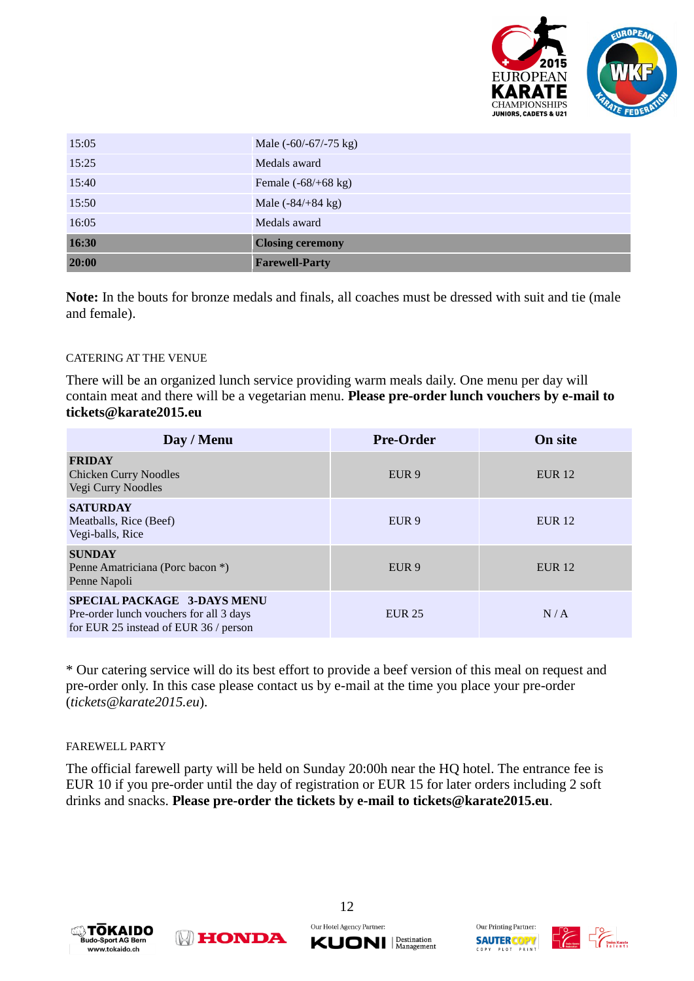

| 15:05 | Male $(-60/-67/-75$ kg)       |
|-------|-------------------------------|
| 15:25 | Medals award                  |
| 15:40 | Female $(-68/+68 \text{ kg})$ |
| 15:50 | Male $(-84/+84 \text{ kg})$   |
| 16:05 | Medals award                  |
| 16:30 | <b>Closing ceremony</b>       |
| 20:00 | <b>Farewell-Party</b>         |

**Note:** In the bouts for bronze medals and finals, all coaches must be dressed with suit and tie (male and female).

#### CATERING AT THE VENUE

There will be an organized lunch service providing warm meals daily. One menu per day will contain meat and there will be a vegetarian menu. **Please pre-order lunch vouchers by e-mail to tickets@karate2015.eu**

| Day / Menu                                                                                                      | <b>Pre-Order</b> | <b>On site</b> |
|-----------------------------------------------------------------------------------------------------------------|------------------|----------------|
| <b>FRIDAY</b><br><b>Chicken Curry Noodles</b><br>Vegi Curry Noodles                                             | EUR <sub>9</sub> | <b>EUR</b> 12  |
| <b>SATURDAY</b><br>Meatballs, Rice (Beef)<br>Vegi-balls, Rice                                                   | EUR <sub>9</sub> | <b>EUR 12</b>  |
| <b>SUNDAY</b><br>Penne Amatriciana (Porc bacon *)<br>Penne Napoli                                               | EUR <sub>9</sub> | <b>EUR</b> 12  |
| SPECIAL PACKAGE 3-DAYS MENU<br>Pre-order lunch vouchers for all 3 days<br>for EUR 25 instead of EUR 36 / person | <b>EUR 25</b>    | N/A            |

\* Our catering service will do its best effort to provide a beef version of this meal on request and pre-order only. In this case please contact us by e-mail at the time you place your pre-order (*tickets@karate2015.eu*).

#### FAREWELL PARTY

The official farewell party will be held on Sunday 20:00h near the HQ hotel. The entrance fee is EUR 10 if you pre-order until the day of registration or EUR 15 for later orders including 2 soft drinks and snacks. **Please pre-order the tickets by e-mail to tickets@karate2015.eu**.







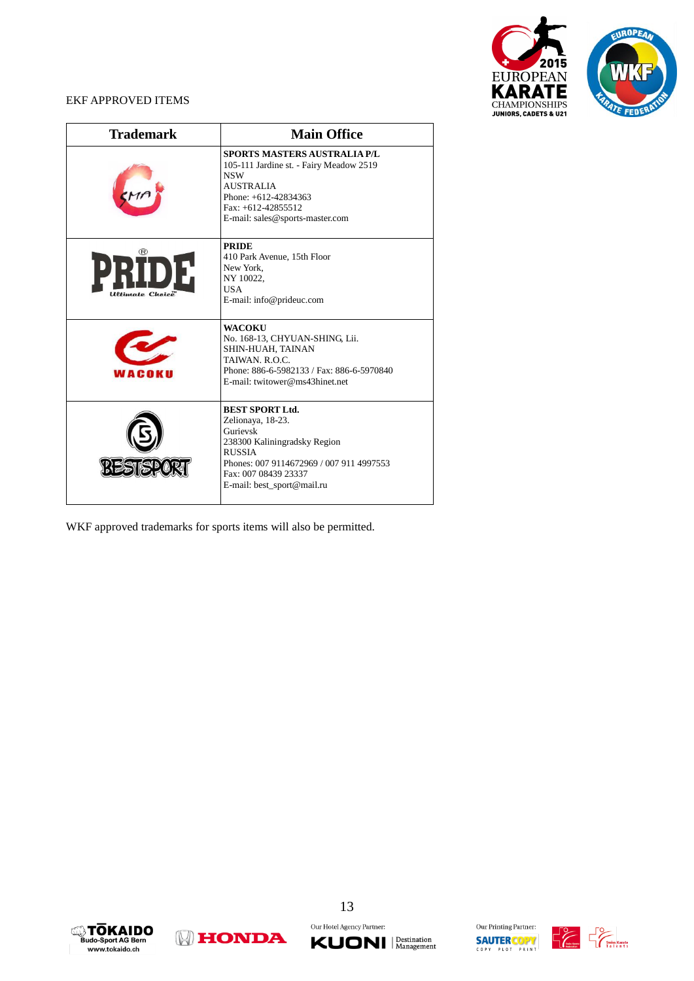

#### EKF APPROVED ITEMS

| <b>Trademark</b>                                | <b>Main Office</b>                                                                                                                                                                                         |
|-------------------------------------------------|------------------------------------------------------------------------------------------------------------------------------------------------------------------------------------------------------------|
|                                                 | <b>SPORTS MASTERS AUSTRALIA P/L</b><br>105-111 Jardine st. - Fairy Meadow 2519<br><b>NSW</b><br><b>AUSTRALIA</b><br>Phone: +612-42834363<br>Fax: $+612-42855512$<br>E-mail: sales@sports-master.com        |
| H<br><b><i><u><u>Etimate</u></u></i></b> Choice | <b>PRIDE</b><br>410 Park Avenue, 15th Floor<br>New York.<br>NY 10022.<br><b>USA</b><br>E-mail: info@prideuc.com                                                                                            |
| WACOKH                                          | <b>WACOKU</b><br>No. 168-13, CHYUAN-SHING, Lii.<br>SHIN-HUAH, TAINAN<br>TAIWAN, R.O.C.<br>Phone: 886-6-5982133 / Fax: 886-6-5970840<br>E-mail: twitower@ms43hinet.net                                      |
|                                                 | <b>BEST SPORT Ltd.</b><br>Zelionaya, 18-23.<br>Gurievsk<br>238300 Kaliningradsky Region<br><b>RUSSIA</b><br>Phones: 007 9114672969 / 007 911 4997553<br>Fax: 007 08439 23337<br>E-mail: best_sport@mail.ru |

WKF approved trademarks for sports items will also be permitted.









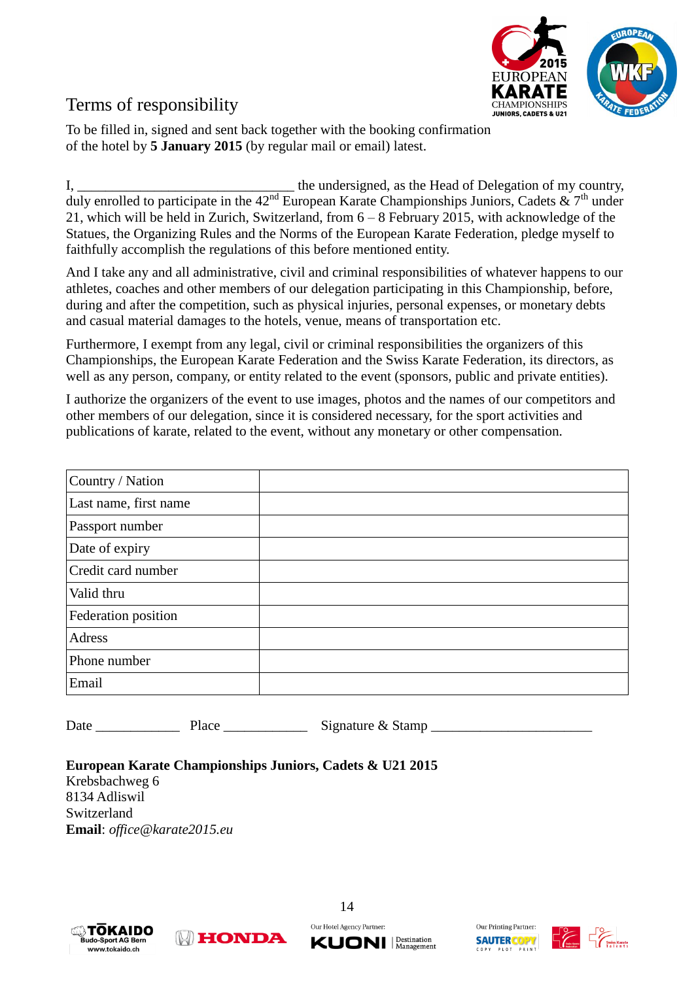

## Terms of responsibility

To be filled in, signed and sent back together with the booking confirmation of the hotel by **5 January 2015** (by regular mail or email) latest.

I, \_\_\_\_\_\_\_\_\_\_\_\_\_\_\_\_\_\_\_\_\_\_\_\_\_\_\_\_\_\_\_ the undersigned, as the Head of Delegation of my country, duly enrolled to participate in the  $42<sup>nd</sup>$  European Karate Championships Juniors, Cadets  $\&$  7<sup>th</sup> under 21, which will be held in Zurich, Switzerland, from 6 – 8 February 2015, with acknowledge of the Statues, the Organizing Rules and the Norms of the European Karate Federation, pledge myself to faithfully accomplish the regulations of this before mentioned entity.

And I take any and all administrative, civil and criminal responsibilities of whatever happens to our athletes, coaches and other members of our delegation participating in this Championship, before, during and after the competition, such as physical injuries, personal expenses, or monetary debts and casual material damages to the hotels, venue, means of transportation etc.

Furthermore, I exempt from any legal, civil or criminal responsibilities the organizers of this Championships, the European Karate Federation and the Swiss Karate Federation, its directors, as well as any person, company, or entity related to the event (sponsors, public and private entities).

I authorize the organizers of the event to use images, photos and the names of our competitors and other members of our delegation, since it is considered necessary, for the sport activities and publications of karate, related to the event, without any monetary or other compensation.

| Country / Nation      |  |
|-----------------------|--|
| Last name, first name |  |
| Passport number       |  |
| Date of expiry        |  |
| Credit card number    |  |
| Valid thru            |  |
| Federation position   |  |
| Adress                |  |
| Phone number          |  |
| Email                 |  |

Date \_\_\_\_\_\_\_\_\_\_\_\_ Place \_\_\_\_\_\_\_\_\_\_\_\_ Signature & Stamp \_\_\_\_\_\_\_\_\_\_\_\_\_\_\_\_\_\_\_\_\_\_\_

#### **European Karate Championships Juniors, Cadets & U21 2015**

**NEONDA** 

Krebsbachweg 6 8134 Adliswil Switzerland **Email**: *[office@karate2015.eu](mailto:info@karate2015.eu)*





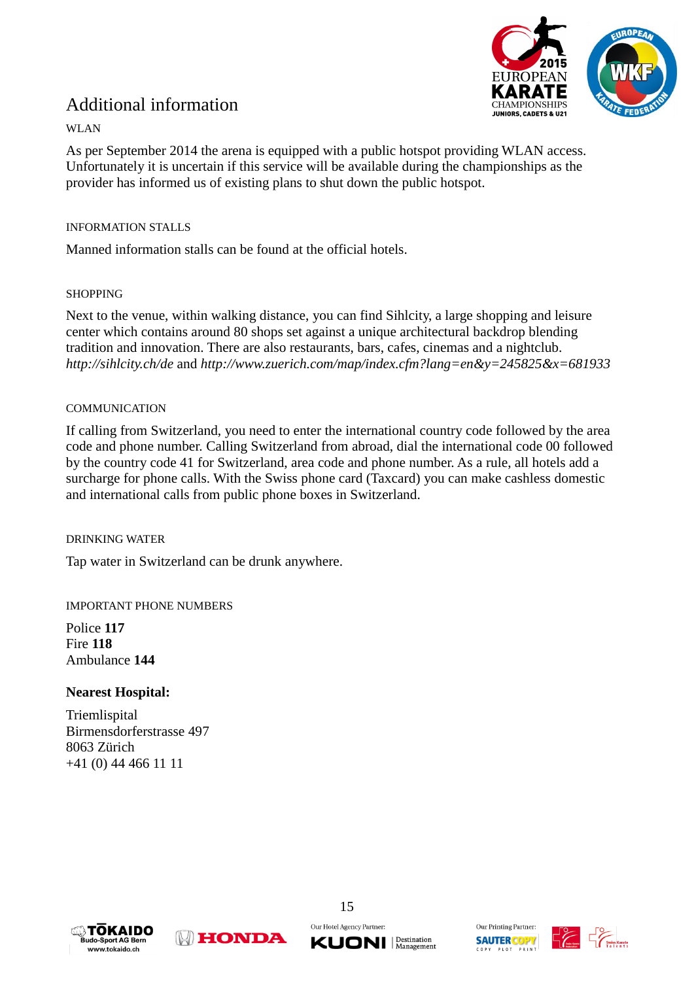

## Additional information

#### WLAN

As per September 2014 the arena is equipped with a public hotspot providing WLAN access. Unfortunately it is uncertain if this service will be available during the championships as the provider has informed us of existing plans to shut down the public hotspot.

#### INFORMATION STALLS

Manned information stalls can be found at the official hotels.

#### SHOPPING

Next to the venue, within walking distance, you can find Sihlcity, a large shopping and leisure center which contains around 80 shops set against a unique architectural backdrop blending tradition and innovation. There are also restaurants, bars, cafes, cinemas and a nightclub. *<http://sihlcity.ch/de>*and *<http://www.zuerich.com/map/index.cfm?lang=en&y=245825&x=681933>*

#### **COMMUNICATION**

If calling from Switzerland, you need to enter the international country code followed by the area code and phone number. Calling Switzerland from abroad, dial the international code 00 followed by the country code 41 for Switzerland, area code and phone number. As a rule, all hotels add a surcharge for phone calls. With the Swiss phone card (Taxcard) you can make cashless domestic and international calls from public phone boxes in Switzerland.

#### DRINKING WATER

Tap water in Switzerland can be drunk anywhere.

#### IMPORTANT PHONE NUMBERS

Police **117** Fire **118** Ambulance **144**

#### **Nearest Hospital:**

**Triemlispital** Birmensdorferstrasse 497 8063 Zürich +41 (0) 44 466 11 11